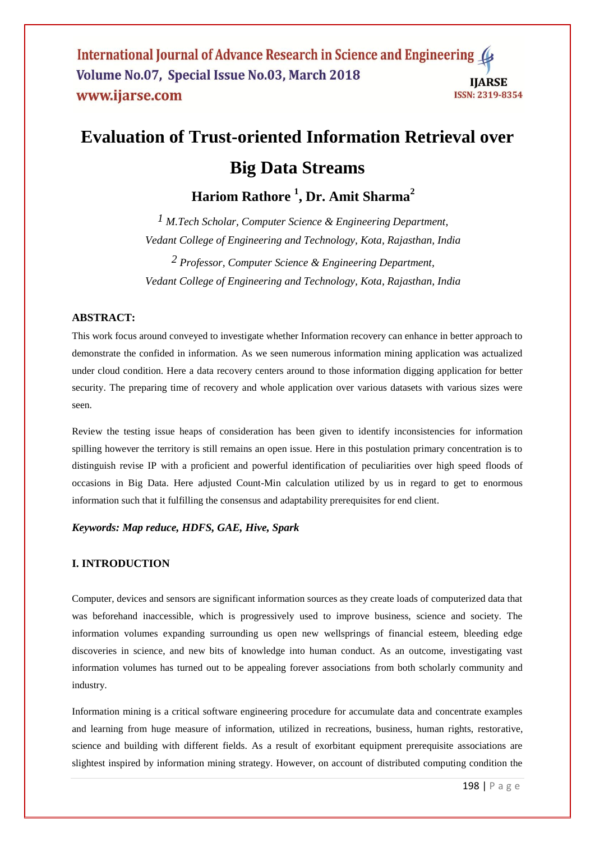# **Evaluation of Trust-oriented Information Retrieval over Big Data Streams**

**Hariom Rathore <sup>1</sup> , Dr. Amit Sharma<sup>2</sup>**

*1 M.Tech Scholar, Computer Science & Engineering Department, Vedant College of Engineering and Technology, Kota, Rajasthan, India 2 Professor, Computer Science & Engineering Department, Vedant College of Engineering and Technology, Kota, Rajasthan, India* 

## **ABSTRACT:**

This work focus around conveyed to investigate whether Information recovery can enhance in better approach to demonstrate the confided in information. As we seen numerous information mining application was actualized under cloud condition. Here a data recovery centers around to those information digging application for better security. The preparing time of recovery and whole application over various datasets with various sizes were seen.

Review the testing issue heaps of consideration has been given to identify inconsistencies for information spilling however the territory is still remains an open issue. Here in this postulation primary concentration is to distinguish revise IP with a proficient and powerful identification of peculiarities over high speed floods of occasions in Big Data. Here adjusted Count-Min calculation utilized by us in regard to get to enormous information such that it fulfilling the consensus and adaptability prerequisites for end client.

# *Keywords: Map reduce, HDFS, GAE, Hive, Spark*

## **I. INTRODUCTION**

Computer, devices and sensors are significant information sources as they create loads of computerized data that was beforehand inaccessible, which is progressively used to improve business, science and society. The information volumes expanding surrounding us open new wellsprings of financial esteem, bleeding edge discoveries in science, and new bits of knowledge into human conduct. As an outcome, investigating vast information volumes has turned out to be appealing forever associations from both scholarly community and industry.

Information mining is a critical software engineering procedure for accumulate data and concentrate examples and learning from huge measure of information, utilized in recreations, business, human rights, restorative, science and building with different fields. As a result of exorbitant equipment prerequisite associations are slightest inspired by information mining strategy. However, on account of distributed computing condition the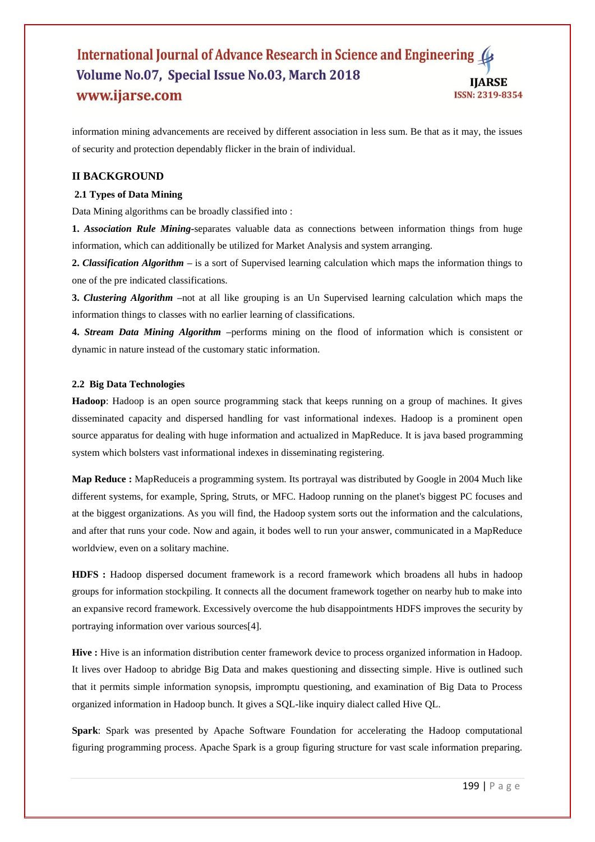information mining advancements are received by different association in less sum. Be that as it may, the issues of security and protection dependably flicker in the brain of individual.

## **II BACKGROUND**

#### **2.1 Types of Data Mining**

Data Mining algorithms can be broadly classified into :

**1.** *Association Rule Mining***-**separates valuable data as connections between information things from huge information, which can additionally be utilized for Market Analysis and system arranging.

**2.** *Classification Algorithm* **–** is a sort of Supervised learning calculation which maps the information things to one of the pre indicated classifications.

**3.** *Clustering Algorithm* **–**not at all like grouping is an Un Supervised learning calculation which maps the information things to classes with no earlier learning of classifications.

**4.** *Stream Data Mining Algorithm* **–**performs mining on the flood of information which is consistent or dynamic in nature instead of the customary static information.

#### **2.2 Big Data Technologies**

**Hadoop**: Hadoop is an open source programming stack that keeps running on a group of machines. It gives disseminated capacity and dispersed handling for vast informational indexes. Hadoop is a prominent open source apparatus for dealing with huge information and actualized in MapReduce. It is java based programming system which bolsters vast informational indexes in disseminating registering.

**Map Reduce :** MapReduceis a programming system. Its portrayal was distributed by Google in 2004 Much like different systems, for example, Spring, Struts, or MFC. Hadoop running on the planet's biggest PC focuses and at the biggest organizations. As you will find, the Hadoop system sorts out the information and the calculations, and after that runs your code. Now and again, it bodes well to run your answer, communicated in a MapReduce worldview, even on a solitary machine.

**HDFS :** Hadoop dispersed document framework is a record framework which broadens all hubs in hadoop groups for information stockpiling. It connects all the document framework together on nearby hub to make into an expansive record framework. Excessively overcome the hub disappointments HDFS improves the security by portraying information over various sources[4].

**Hive :** Hive is an information distribution center framework device to process organized information in Hadoop. It lives over Hadoop to abridge Big Data and makes questioning and dissecting simple. Hive is outlined such that it permits simple information synopsis, impromptu questioning, and examination of Big Data to Process organized information in Hadoop bunch. It gives a SQL-like inquiry dialect called Hive QL.

**Spark**: Spark was presented by Apache Software Foundation for accelerating the Hadoop computational figuring programming process. Apache Spark is a group figuring structure for vast scale information preparing.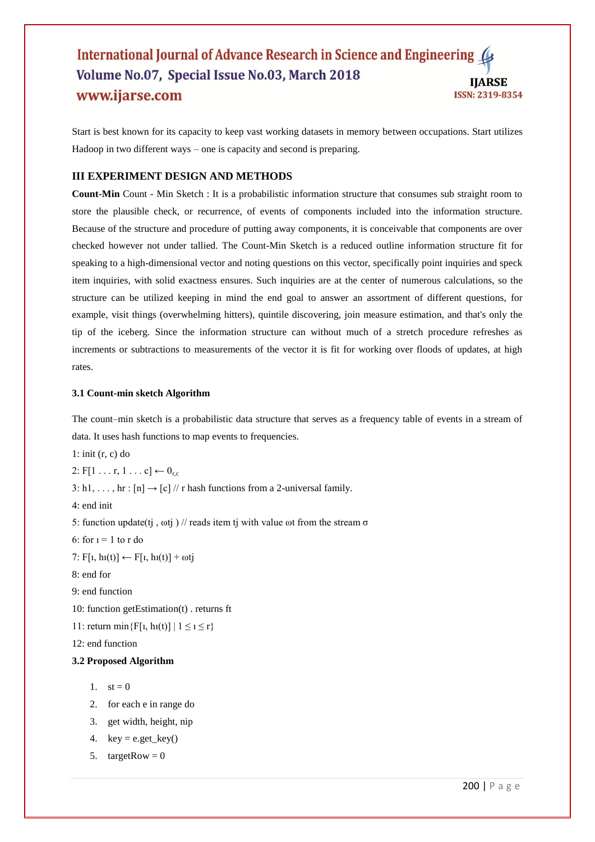Start is best known for its capacity to keep vast working datasets in memory between occupations. Start utilizes Hadoop in two different ways – one is capacity and second is preparing.

# **III EXPERIMENT DESIGN AND METHODS**

**Count-Min** Count - Min Sketch : It is a probabilistic information structure that consumes sub straight room to store the plausible check, or recurrence, of events of components included into the information structure. Because of the structure and procedure of putting away components, it is conceivable that components are over checked however not under tallied. The Count-Min Sketch is a reduced outline information structure fit for speaking to a high-dimensional vector and noting questions on this vector, specifically point inquiries and speck item inquiries, with solid exactness ensures. Such inquiries are at the center of numerous calculations, so the structure can be utilized keeping in mind the end goal to answer an assortment of different questions, for example, visit things (overwhelming hitters), quintile discovering, join measure estimation, and that's only the tip of the iceberg. Since the information structure can without much of a stretch procedure refreshes as increments or subtractions to measurements of the vector it is fit for working over floods of updates, at high rates.

#### **3.1 Count-min sketch Algorithm**

The count–min sketch is a probabilistic data structure that serves as a frequency table of events in a stream of data. It uses hash functions to map events to frequencies.

1: init (r, c) do

2:  $F[1 \ldots r, 1 \ldots c] \leftarrow 0_{rc}$ 

3: h1, ..., hr :  $[n] \rightarrow [c]$  // r hash functions from a 2-universal family.

4: end init

5: function update(tj,  $\omega$ tj) // reads item tj with value  $\omega$ t from the stream  $\sigma$ 

6: for  $i = 1$  to r do

7:  $F[i, h(i)] \leftarrow F[i, h(i)] + \omega tj$ 

8: end for

9: end function

10: function getEstimation(t) . returns ft

11: return min $\{F[i, hu(t)] \mid 1 \le i \le r\}$ 

12: end function

#### **3.2 Proposed Algorithm**

1.  $st = 0$ 

- 2. for each e in range do
- 3. get width, height, nip
- 4.  $key = e.get\_key()$
- 5. targetRow =  $0$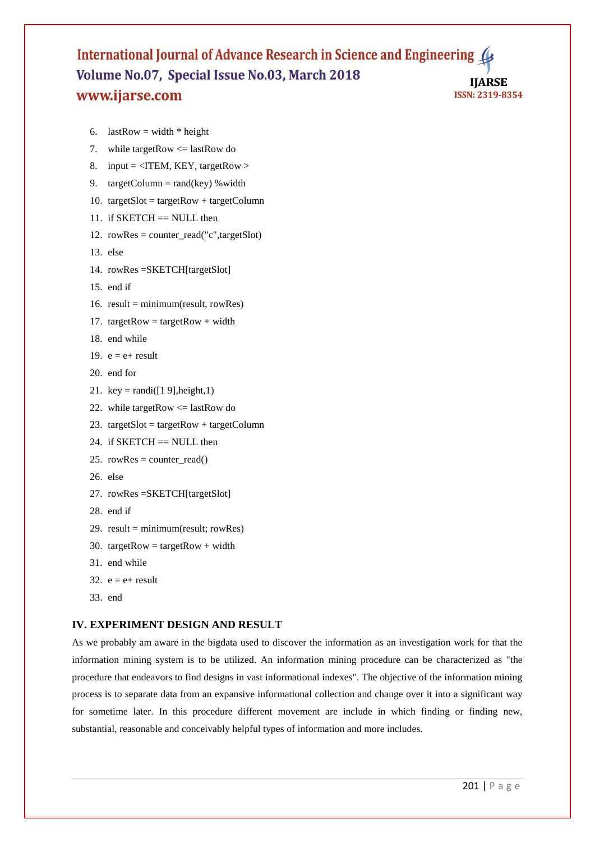```
6. lastRow = width * height
```
- 7. while targetRow <= lastRow do
- 8. input =  $\langle$ ITEM, KEY, targetRow >
- 9. targetColumn = rand(key) % width
- 10. targetSlot = targetRow + targetColumn
- 11. if  $SKETCH == NULL$  then
- 12. rowRes = counter\_read("c",targetSlot)
- 13. else
- 14. rowRes =SKETCH[targetSlot]
- 15. end if
- 16. result = minimum(result, rowRes)
- 17. targetRow = targetRow + width
- 18. end while
- 19.  $e = e + result$
- 20. end for
- 21. key = randi( $[1 9]$ , height, 1)
- 22. while targetRow  $\leq$  lastRow do
- 23. targetSlot = targetRow + targetColumn
- 24. if  $SKEYCH == NULL$  then
- 25. rowRes = counter\_read()
- 26. else
- 27. rowRes =SKETCH[targetSlot]
- 28. end if
- 29.  $result = minimum(result; rowRes)$
- 30. targetRow = targetRow + width
- 31. end while
- 32.  $e = e + result$
- 33. end

## **IV. EXPERIMENT DESIGN AND RESULT**

As we probably am aware in the bigdata used to discover the information as an investigation work for that the information mining system is to be utilized. An information mining procedure can be characterized as "the procedure that endeavors to find designs in vast informational indexes". The objective of the information mining process is to separate data from an expansive informational collection and change over it into a significant way for sometime later. In this procedure different movement are include in which finding or finding new, substantial, reasonable and conceivably helpful types of information and more includes.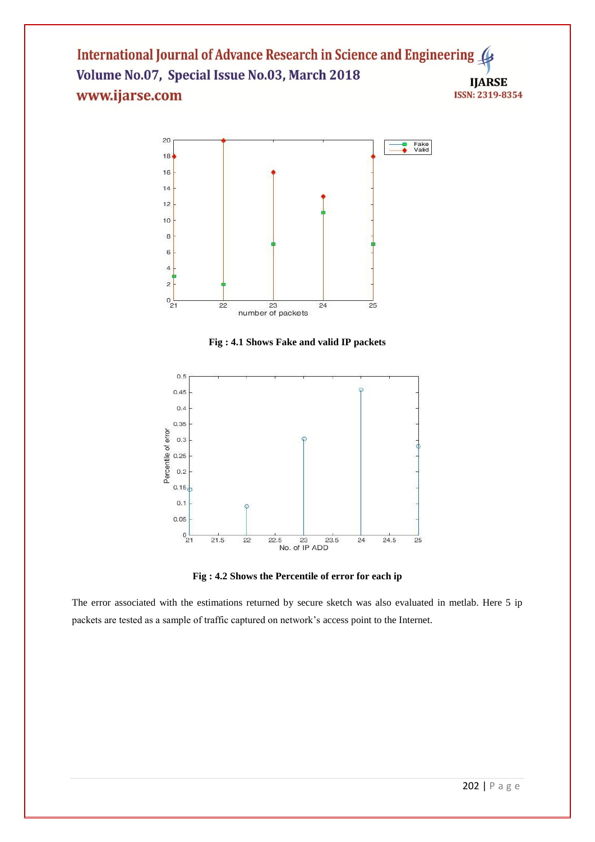

**Fig : 4.1 Shows Fake and valid IP packets**



**Fig : 4.2 Shows the Percentile of error for each ip** 

The error associated with the estimations returned by secure sketch was also evaluated in metlab. Here 5 ip packets are tested as a sample of traffic captured on network's access point to the Internet.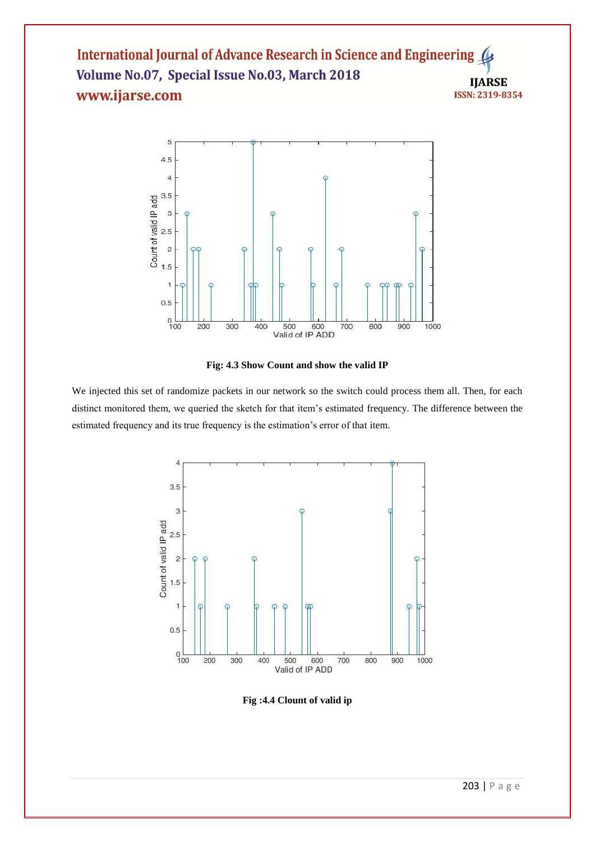

**Fig: 4.3 Show Count and show the valid IP**

We injected this set of randomize packets in our network so the switch could process them all. Then, for each distinct monitored them, we queried the sketch for that item's estimated frequency. The difference between the estimated frequency and its true frequency is the estimation's error of that item.



**Fig :4.4 Clount of valid ip**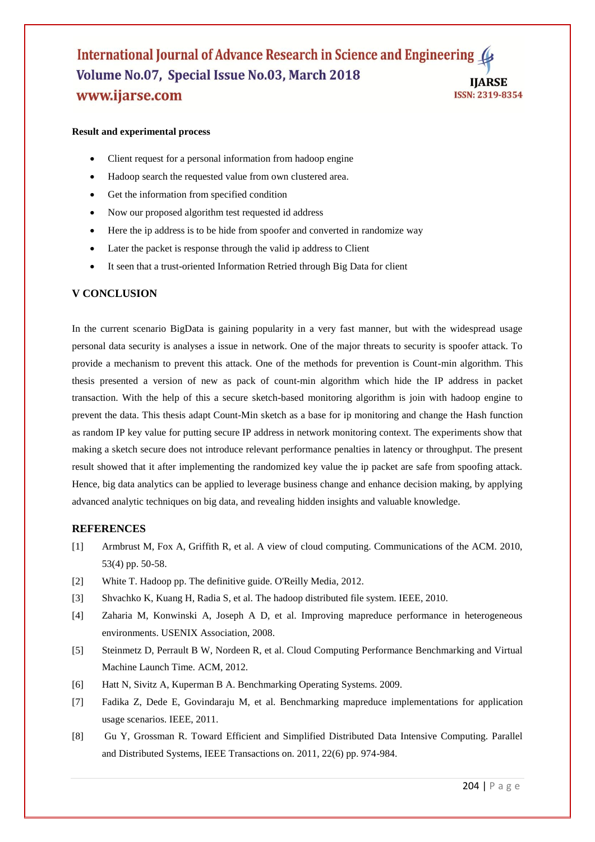#### **Result and experimental process**

- Client request for a personal information from hadoop engine
- Hadoop search the requested value from own clustered area.
- Get the information from specified condition
- Now our proposed algorithm test requested id address
- Here the ip address is to be hide from spoofer and converted in randomize way
- Later the packet is response through the valid ip address to Client
- It seen that a trust-oriented Information Retried through Big Data for client

## **V CONCLUSION**

In the current scenario BigData is gaining popularity in a very fast manner, but with the widespread usage personal data security is analyses a issue in network. One of the major threats to security is spoofer attack. To provide a mechanism to prevent this attack. One of the methods for prevention is Count-min algorithm. This thesis presented a version of new as pack of count-min algorithm which hide the IP address in packet transaction. With the help of this a secure sketch-based monitoring algorithm is join with hadoop engine to prevent the data. This thesis adapt Count-Min sketch as a base for ip monitoring and change the Hash function as random IP key value for putting secure IP address in network monitoring context. The experiments show that making a sketch secure does not introduce relevant performance penalties in latency or throughput. The present result showed that it after implementing the randomized key value the ip packet are safe from spoofing attack. Hence, big data analytics can be applied to leverage business change and enhance decision making, by applying advanced analytic techniques on big data, and revealing hidden insights and valuable knowledge.

#### **REFERENCES**

- [1] Armbrust M, Fox A, Griffith R, et al. A view of cloud computing. Communications of the ACM. 2010, 53(4) pp. 50-58.
- [2] White T. Hadoop pp. The definitive guide. O'Reilly Media, 2012.
- [3] Shvachko K, Kuang H, Radia S, et al. The hadoop distributed file system. IEEE, 2010.
- [4] Zaharia M, Konwinski A, Joseph A D, et al. Improving mapreduce performance in heterogeneous environments. USENIX Association, 2008.
- [5] Steinmetz D, Perrault B W, Nordeen R, et al. Cloud Computing Performance Benchmarking and Virtual Machine Launch Time. ACM, 2012.
- [6] Hatt N, Sivitz A, Kuperman B A. Benchmarking Operating Systems. 2009.
- [7] Fadika Z, Dede E, Govindaraju M, et al. Benchmarking mapreduce implementations for application usage scenarios. IEEE, 2011.
- [8] Gu Y, Grossman R. Toward Efficient and Simplified Distributed Data Intensive Computing. Parallel and Distributed Systems, IEEE Transactions on. 2011, 22(6) pp. 974-984.